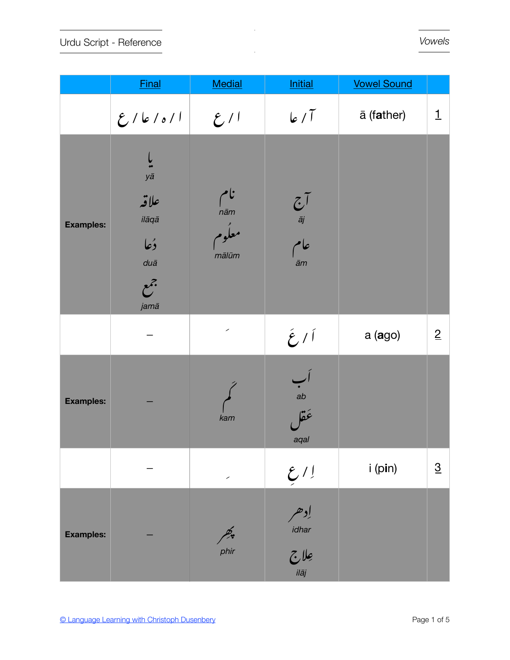Urdu Script - Reference

|                  | <b>Final</b>                                               | Medial                              | <b>Initial</b>                                                | <b>Vowel Sound</b> |                 |
|------------------|------------------------------------------------------------|-------------------------------------|---------------------------------------------------------------|--------------------|-----------------|
|                  | ا ۱ ه ۱ عا رع                                              | 2/1                                 | 6/1                                                           | ā (father)         | $\mathbf{1}$    |
| <b>Examples:</b> | yā<br>علاقه<br>ilāqā<br>دُعا<br>$du\bar{a}$<br>جمع<br>jamā | نام<br><i>nām</i><br>معكوم<br>mālūm | $\frac{\tilde{C}}{\tilde{a}j}$<br>عام<br>ām                   |                    |                 |
|                  |                                                            | $\overline{\phantom{a}}$            | $2\ell$                                                       | $a$ (ago)          | $\overline{2}$  |
| <b>Examples:</b> |                                                            | kam                                 | ab<br>ab<br><b>jä</b> é<br>aqal                               |                    |                 |
|                  |                                                            | $\overline{\phantom{a}}$            | $\frac{\mathcal{E}}{2}$                                       | i (pin)            | $\underline{3}$ |
| <b>Examples:</b> |                                                            | پھر<br><i>phir</i>                  | إدهر<br>idhar<br>$\frac{1}{\sum\limits_{i\in \bar{a}_j} a_i}$ |                    |                 |

 $\mathcal{L}$ 

 $\mathbb{Z}^2$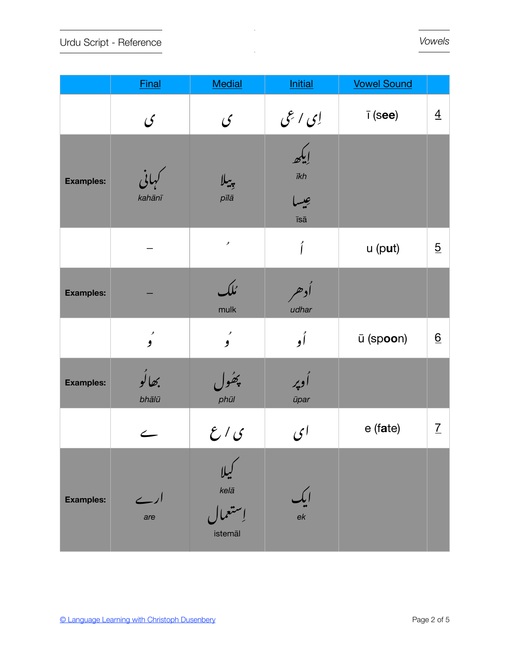|                  | <b>Final</b>             | Medial                                | <b>Initial</b>                           | <b>Vowel Sound</b>   |                 |
|------------------|--------------------------|---------------------------------------|------------------------------------------|----------------------|-----------------|
|                  | $\mathcal{C}$            | $\mathcal{G}$                         | ای اعی                                   | $\overline{I}$ (see) | $\overline{4}$  |
| <b>Examples:</b> | لهاني<br>kahānī          | بيبلا<br>pīlā                         | إيكه<br>$\bar{\imath}$ kh<br>عيسا<br>īsā |                      |                 |
|                  |                          | ه                                     | أ                                        | $u$ (put)            | $\overline{5}$  |
| <b>Examples:</b> |                          | ئلك<br>mulk                           | أدهر<br>udhar                            |                      |                 |
|                  | ء<br>و                   | ء<br>و                                | أو                                       | ū (spoon)            | $\underline{6}$ |
| <b>Examples:</b> | بھالُو<br>bhālū          | پھُول<br>phūl                         | أدپر<br>ūpar                             |                      |                 |
|                  | $\overline{\phantom{0}}$ | $\mathcal{E}^{\,\prime}\,\mathcal{G}$ | ای                                       | e (fate)             | $\underline{7}$ |
| <b>Examples:</b> | ارے<br>are               | $k$ elā<br>istemāl                    | ek                                       |                      |                 |

 $\bar{z}$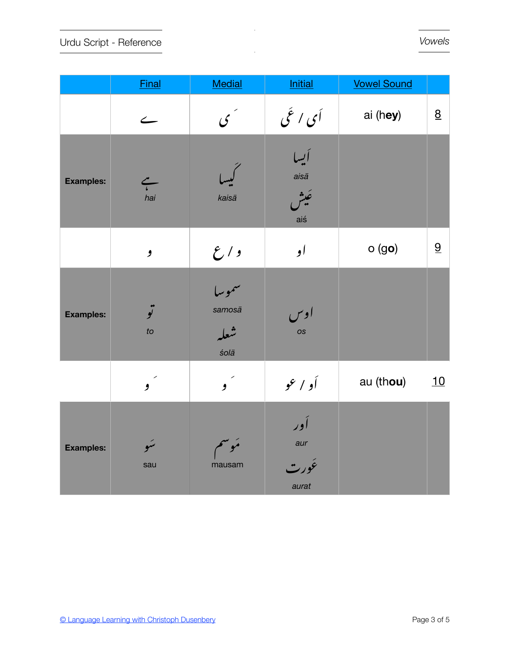|                  | <b>Final</b>                    | <b>Medial</b>                   | <b>Initial</b>                      | <b>Vowel Sound</b> |                 |
|------------------|---------------------------------|---------------------------------|-------------------------------------|--------------------|-----------------|
|                  | $\leftarrow$                    | کی گ                            | أي اغي                              | ai (hey)           | $\underline{8}$ |
| <b>Examples:</b> | $\stackrel{\sim}{\cdot}$<br>hai | kaisā                           | أيسا<br>$ais\bar{a}$<br>عَيش<br>aiś |                    |                 |
|                  | و                               | $\mathcal{E}^{\,\prime\,$       | او                                  | $o$ (go)           | 9               |
| <b>Examples:</b> | تو<br>to                        | سموسا<br>samosā<br>شعله<br>śolā | اوس<br>os                           |                    |                 |
|                  | $\mathbf{y}^{\prime}$           | $\boldsymbol{y}^{\prime}$       | أو إعو                              | au (thou)          | 10              |
| <b>Examples:</b> | سَو<br>sau                      | مَوسم<br>mausam                 | أور<br>aur<br>ئورت<br>aurat         |                    |                 |

 $\cdot$ 

 $\mathbb{R}^2$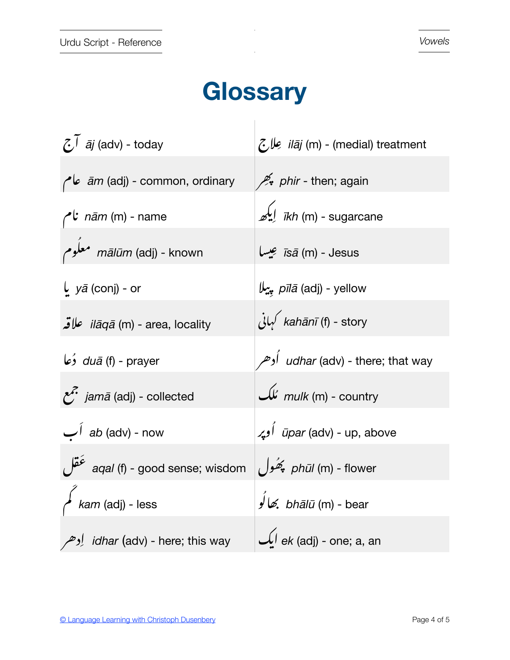## Glossary

| $\tilde{C}^{\tilde{}}$ $\tilde{a}$ <i>j</i> (adv) - today | <i>ilāj</i> (m) - (medial) treatment |
|-----------------------------------------------------------|--------------------------------------|
| <i>am</i> (adj) - common, ordinary                        | phir - then; again                   |
| ام $n\bar{a}m$ (m) - name                                 | <i>ikh</i> (m) - sugarcane           |
| mālūm (adj) - known معلّوم                                | قيسا īsā (m) - Jesus                 |
| $\int$ <i>y</i> $\bar{a}$ (conj) - or                     | pīlā (adj) - yellow                  |
| <i>ilāqā</i> (m) - area, locality علاقه                   | بانی kahānī (f) - story              |
| duā (f) - prayer                                          | udhar (adv) - there; that way        |
| <i>f</i> jamā (adj) - collected                           | mulk (m) - country مُلک              |
| ab (adv) - now                                            | <i>ūpar</i> (adv) - up, above        |
| aqal (f) - good sense; wisdom                             | phūl (m) - flower پَھُول             |
| kam (adj) - less                                          | bhālū (m) - bear                     |
| <i>idhar</i> (adv) - here; this way <b>jurition</b>       | $\mathcal{L}$ ek (adj) - one; a, an  |